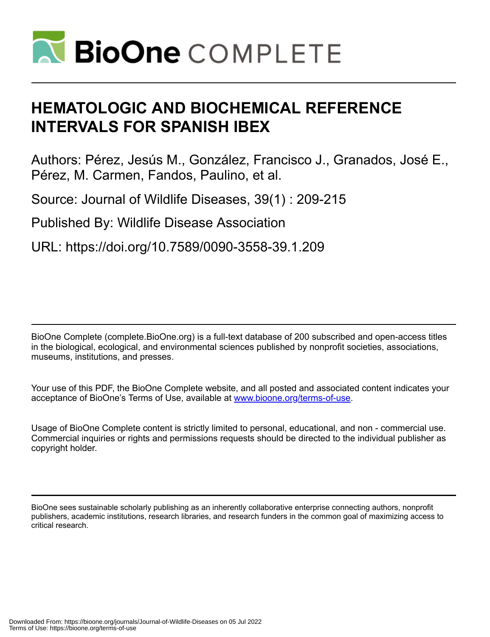

# **HEMATOLOGIC AND BIOCHEMICAL REFERENCE INTERVALS FOR SPANISH IBEX**

Authors: Pérez, Jesús M., González, Francisco J., Granados, José E., Pérez, M. Carmen, Fandos, Paulino, et al.

Source: Journal of Wildlife Diseases, 39(1) : 209-215

Published By: Wildlife Disease Association

URL: https://doi.org/10.7589/0090-3558-39.1.209

BioOne Complete (complete.BioOne.org) is a full-text database of 200 subscribed and open-access titles in the biological, ecological, and environmental sciences published by nonprofit societies, associations, museums, institutions, and presses.

Your use of this PDF, the BioOne Complete website, and all posted and associated content indicates your acceptance of BioOne's Terms of Use, available at www.bioone.org/terms-of-use.

Usage of BioOne Complete content is strictly limited to personal, educational, and non - commercial use. Commercial inquiries or rights and permissions requests should be directed to the individual publisher as copyright holder.

BioOne sees sustainable scholarly publishing as an inherently collaborative enterprise connecting authors, nonprofit publishers, academic institutions, research libraries, and research funders in the common goal of maximizing access to critical research.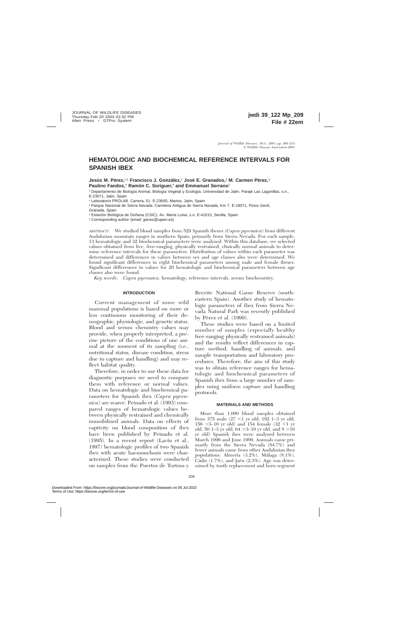## **HEMATOLOGIC AND BIOCHEMICAL REFERENCE INTERVALS FOR SPANISH IBEX**

**Jesús M. Pérez,**<sup>1,5</sup> Francisco J. González,<sup>2</sup> José E. Granados,<sup>3</sup> M. Carmen Pérez,<sup>3</sup> **Paulino Fandos,<sup>4</sup> Ramón C. Soriguer,<sup>4</sup> and Emmanuel Serrano<sup>1</sup>** 

<sup>1</sup> Departamento de Biología Animal, Biología Vegetal y Ecología. Universidad de Jaén. Paraje Las Lagunillas, s.n., E-23071, Jaén, Spain

<sup>2</sup> Laboratorio PROLAB. Carrera, 51. E-23600, Martos, Jaén, Spain

<sup>3</sup> Parque Nacional de Sierra Nevada. Carretera Antigua de Sierra Nevada, Km 7. E-18071, Pinos Genil, Granada, Spain

<sup>4</sup> Estación Biológica de Doñana (CSIC). Av. María Luisa, s.n. E-41013, Sevilla, Spain

<sup>5</sup> Corresponding author (email: jperez@ujaen.es)

ABSTRACT: We studied blood samples from 529 Spanish ibexes (*Capra pyrenaica*) from different Andalusian mountain ranges in southern Spain, primarily from Sierra Nevada. For each sample, 13 hematologic and 32 biochemical parameters were analyzed. Within this database, we selected values obtained from live, free-ranging, physically restrained, clinically normal animals to determine reference intervals for these parameters. Distribution of values within each parameter was determined and differences in values between sex and age classes also were determined. We found significant differences in eight biochemical parameters among male and female ibexes. Significant differences in values for 20 hematologic and biochemical parameters between age classes also were found.

*Key words: Capra pyrenaica,* hematology, reference intervals, serum biochemistry.

#### **INTRODUCTION**

Current management of some wild mammal populations is based on more or less continuous monitoring of their demographic, physiologic, and genetic status. Blood and serum chemistry values may provide, when properly interpreted, a precise picture of the conditions of one animal at the moment of its sampling (i.e., nutritional status, disease condition, stress due to capture and handling) and may reflect habitat quality.

Therefore, in order to use these data for diagnostic purposes we need to compare them with reference or normal values. Data on hematologic and biochemical parameters for Spanish ibex (*Capra pyrenaica*) are scarce. Peinado et al. (1993) compared ranges of hematologic values between physically restrained and chemically immobilized animals. Data on effects of captivity on blood composition of ibex have been published by Peinado et al.  $(1995)$ . In a recent report  $(Lavín et al.,$ 1997) hematologic profiles of two Spanish ibex with acute haemonchosis were characterized. These studies were conducted on samples from the Puertos de Tortosa y

Beceite National Game Reserve (northeastern Spain). Another study of hematologic parameters of ibex from Sierra Nevada Natural Park was recently published by Pérez et al.  $(1999)$ .

These studies were based on a limited number of samples (especially healthy free-ranging physically restrained animals) and the results reflect differences in capture method, handling of animals, and sample transportation and laboratory procedures. Therefore, the aim of this study was to obtain reference ranges for hematologic and biochemical parameters of Spanish ibex from a large number of samples using uniform capture and handling protocols.

#### **MATERIALS AND METHODS**

More than 1,000 blood samples obtained from 375 male  $(27 < 1$  yr old, 192 1–3 yr old, 156  $>3-10$  yr old) and 154 female (32 <1 yr old, 50 1–3 yr old, 64  $>3$ –10 yr old, and 8  $>10$ yr old) Spanish ibex were analyzed between March 1996 and June 1999. Animals came primarily from the Sierra Nevada (84.7%) and fewer animals came from other Andalusian ibex populations: Almería (3.2%), Málaga (8.1%), Cádiz  $(1.7\%)$ , and Jaén  $(2.3\%)$ . Age was determined by tooth replacement and horn segment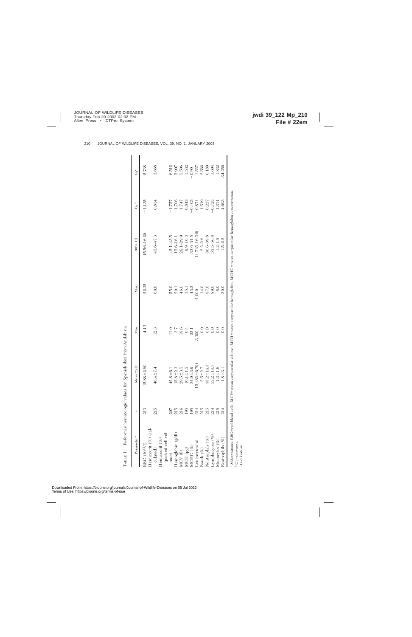| Parameter <sup>a</sup>                             | $\boldsymbol{z}$ | $Mean \pm SD$                    | Min.           | Max.              | $90\%$ CI                                                                                                                                           | $G^b$                | $G_2^c$                                                |
|----------------------------------------------------|------------------|----------------------------------|----------------|-------------------|-----------------------------------------------------------------------------------------------------------------------------------------------------|----------------------|--------------------------------------------------------|
| Hematocrit (%) (cal-<br>RBC (10 <sup>12</sup> /l)  | 213              | $15.88 \pm 2.80$                 | 4.13           | 22.35             | 15.56-16.20                                                                                                                                         | $-1.135$             | 2.738                                                  |
| (packed cell vol-<br>Hematocrit $(\%)$<br>culated) | 215              | 46.4±7.4                         | 12.3           | 69.6              | 45.6-47.3                                                                                                                                           | $-0.834$             | 3.668                                                  |
| Hemoglobin (g/dl)<br>ume)                          |                  | $15.8 \pm 2.3$<br>$42.8 \pm 6.1$ |                | 55.0<br>20.1      | $42.1 - 43.5$<br>15.6-16.1                                                                                                                          | $-1.706$<br>$-1.757$ | 6.512<br>5.907                                         |
| MCV(H)                                             | 216              | $29.5 + 3.5$                     | 19.6           | 46.0              | $29.1 - 29.9$                                                                                                                                       | 1.747                | 5.506                                                  |
| MCH (pg)                                           | 95               | $10.1 + 1.5$                     | 6.4            | $\overline{15}$ . | $9.9 - 10.3$                                                                                                                                        | 0.843                | 1.532                                                  |
| $ACHC$ (%)                                         | 195              | $34.0 + 3.9$                     | 22.1           | 43.2              | 33.6-34.5                                                                                                                                           | $-0.405$             | $-0.90$                                                |
| eukocytes/ml                                       |                  | $5,482 \pm 6,794$                | 3,300          | 1,000             | 14,715-16,249                                                                                                                                       | 0.874                | 1.527                                                  |
| Bands $(\%$                                        | 214<br>215       | $2.5 + 2.7$                      |                | 14.0              | $2.2 - 2.8$                                                                                                                                         | 1.519                |                                                        |
| Neutrophils (%)                                    | 215              | $38.2 \pm 14.3$                  |                | 87.0              | 36.6-39.8                                                                                                                                           | 0.227                | $\begin{array}{c} 2.566 \\ 0.189 \\ 1.604 \end{array}$ |
| Lymphocytes $(\%)$                                 | 214              | $55.2 \pm 14.7$                  | $\rm{C}$       | 89.0              | 53.5-56.8                                                                                                                                           | $-0.725$             |                                                        |
| Monocytes $(\%)$                                   | 215              | $1.3 + 1.6$                      | $\overline{0}$ | $\overline{8}$ .  | $1.2 - 1.5$                                                                                                                                         | 1.371                | 1.832                                                  |
| Eosinophils $(\%)$                                 |                  | $1.8 + 3.1$                      |                | 30.0              | $1.5 - 2.2$                                                                                                                                         | 4.693                | 34.256                                                 |
| $G_1 =$ skewness.<br>$\rm{C}_{2}$ =kurtosis        |                  |                                  |                |                   | ª Abbreviations: RBC=red blood cells, MCV=mean corpuscular volume, MCH=mean corpuscular hemoglobin, MCHC=mean corpuscular hemoglobin concentration. |                      |                                                        |

TABLE 1. Reference hematologic values for Spanish ibex from Andalusia. TABLE 1. Reference hematologic values for Spanish ibex from Andalusia.

Downloaded From: https://bioone.org/journals/Journal-of-Wildlife-Diseases on 05 Jul 2022 Terms of Use: https://bioone.org/terms-of-use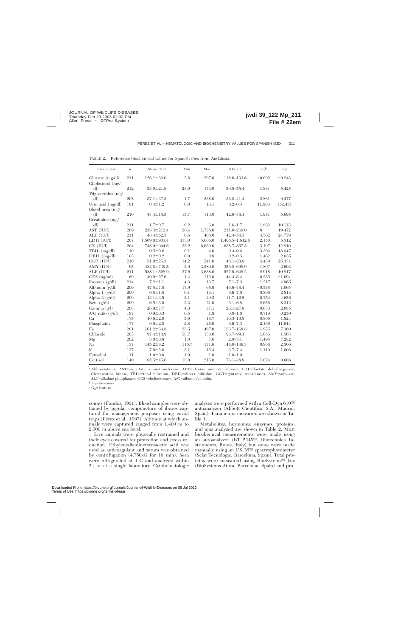| Parameter <sup>a</sup> | $\boldsymbol{n}$ | $Mean \pm SD$       | Min.  | Max.    | 90% CI              | $G_1^b$  | $G_2^c$  |
|------------------------|------------------|---------------------|-------|---------|---------------------|----------|----------|
| Glucose $(mg/dl)$      | 211              | $126.1 \pm 66.0$    | 2.6   | 297.0   | 118.6-133.6         | $-0.092$ | $-0.243$ |
| Cholesterol (mg/       |                  |                     |       |         |                     |          |          |
| dl)                    | 212              | $53.0 \pm 21.8$     | 23.0  | 174.0   | $50.5 - 55.4$       | 1.881    | 5.425    |
| Triglycerides (mg/     |                  |                     |       |         |                     |          |          |
| dl                     | 208              | $37.1 \pm 37.8$     | 1.7   | 238.0   | 32.8-41.4           | 2.861    | 9.477    |
| Uric acid (mg/dl)      | 181              | $0.4 \pm 1.2$       | 0.0   | 16.1    | $0.2 - 0.5$         | 11.904   | 152.431  |
| Blood urea (mg/        |                  |                     |       |         |                     |          |          |
| dl)                    | 210              | $44.4 \pm 15.5$     | 15.7  | 113.0   | $42.6 - 46.1$       | 1.941    | 5.695    |
| Creatinine $(mg)$      |                  |                     |       |         |                     |          |          |
| dl)                    | 211              | $1.7 \pm 0.7$       | 0.2   | 6.0     | $1.6 - 1.7$         | 1.862    | 10.113   |
| AST (IU/l)             | 209              | $235.3 \pm 212.4$   | 26.6  | 1,758.0 | $211.0 - 260.0$     | 8        | 19.472   |
| ALT (IU/l)             | 211              | $48.4 \pm 52.3$     | 6.6   | 468.0   | 42.4-54.3           | 4.362    | 24.759   |
| LDH (IU/l)             | 207              | $1,509.0 \pm 901.4$ | 313.0 | 5,605.0 | $1,405.5 - 1,612.6$ | 2.150    | 5.512    |
| $CK$ (IU/l)            | 204              | 748.0±944.5         | 35.2  | 6,630.0 | 638.7-857.3         | 3.197    | 12.810   |
| TBIL (mg/dl)           | 110              | $0.5 \pm 0.6$       | 0.1   | 4.0     | $0.4 - 0.6$         | 3.304    | 13.647   |
| $DBIL$ (mg/dl)         | 103              | $0.2 \pm 0.2$       | 0.0   | 0.9     | $0.2 - 0.3$         | 1.462    | 2.635    |
| GGT (IU/l)             | 210              | $51.0 \pm 25.3$     | 14.2  | 241.0   | $48.1 - 53.8$       | 4.439    | 25.334   |
| $AMY$ (IU/l)           | 95               | $482.8 \pm 739.5$   | 2.9   | 3,280.0 | 356.8-608.9         | 1.807    | 2.693    |
| $ALP$ (IU/l)           | 211              | 588.1±528.9         | 37.6  | 3,638.0 | 527.9-648.2         | 2.918    | 10.817   |
| $CES$ (ng/ml)          | 69               | $49.9 \pm 27.6$     | 1.4   | 112.0   | $44.4 - 5.4$        | 0.235    | $-1.094$ |
| Proteins (g/dl)        | 214              | $7.2 \pm 1.1$       | 4.3   | 13.7    | $7.1 - 7.3$         | 1.217    | 4.965    |
| Albumin (g/dl)         | 209              | $47.5 \pm 7.8$      | 17.9  | 65.9    | $46.6 - 48.4$       | $-0.548$ | 1.065    |
| Alpha $1$ ( $g/dl$ )   | 209              | $6.8 \pm 1.8$       | 0.1   | 14.1    | $6.6 - 7.0$         | 0.896    | 2.813    |
| Alpha 2 (g/dl)         | 209              | $12.1 \pm 3.5$      | 2.1   | 29.3    | $11.7 - 12.5$       | 0.754    | 4.656    |
| Beta (g/dl)            | 209              | $6.5 \pm 3.0$       | 2.3   | 21.0    | $6.1 - 6.8$         | 2.656    | 8.312    |
| Gamma (g/l)            | 208              | $26.9 + 7.7$        | 4.3   | 57.1    | $26.1 - 27.8$       | 0.633    | 2.085    |
| $A/G$ ratio $(g/dl)$   | 187              | $0.9 + 0.3$         | 0.5   | 1.8     | $0.9 - 1.0$         | 0.719    | 0.250    |
| Ca                     | 175              | $10.6 \pm 2.0$      | 5.9   | 18.7    | $10.3 - 10.8$       | 0.806    | 1.824    |
| Phosphates             | 177              | $6.9 \pm 2.8$       | 2.8   | 25.9    | $6.6 - 7.3$         | 2.166    | 11.644   |
| Fe                     | 201              | $161.2 \pm 64.8$    | 25.5  | 497.0   | 153.7-168.8         | 1.925    | 7.160    |
| Chloride               | 203              | $97.4 \pm 14.9$     | 58.7  | 133.0   | 95.7-99.1           | $-1.086$ | 1.563    |
| Mg                     | 202              | $3.0 \pm 0.8$       | 1.0   | 7.6     | $2.9 - 3.1$         | 1.495    | 7.282    |
| Na                     | 137              | $145.2 \pm 8.2$     | 116.7 | 171.6   | $144.0 - 146.3$     | 0.868    | 2.506    |
| K                      | 137              | $7.0 \pm 2.6$       | 3.1   | 15.4    | $6.7 - 7.4$         | 1.110    | 1.006    |
| Estradiol              | 11               | $1.0 - 0.0$         | 1.0   | 1.0     | $1.0 - 1.0$         |          |          |
| Cortisol               | 140              | $82.5 \pm 45.6$     | 15.0  | 215.0   | 76.1-88.9           | 1.024    | 0.608    |

TABLE 2. Reference biochemical values for Spanish ibex from Andalusia.

<sup>a</sup> Abbreviations: AST=aspartate aminotransferase, ALT=alanine aminotransferase, LDH=lactate dehydrogenase, CK=creatine kinase, TBIL=total bilirubin, DBIL=direct bilirubin, GGT=glutamyl transferases, AMY=amylase, ALP=alkaline phosphatase, CES=cholinesterase, A/G=albumin/globulin.<br>b  $\rm G_{1}=skewness.$ 

 $\rm ^c$  G<sub>2</sub>=kurtosis.

counts (Fandos, 1991). Blood samples were obtained by jugular venipuncture of ibexes captured for management purposes using corral traps (Pérez et al., 1997). Altitude at which animals were captured ranged from 1,400 m to 2,500 m above sea level.

Live animals were physically restrained and their eyes covered for protection and stress reduction. Ethylenediaminetetraacetic acid was used as anticoagulant and serum was obtained by centrifugation (4,750xG for 10 min). Sera were refrigerated at 4 C and analyzed within 24 hr at a single laboratory. Cytohematologic

analyses were performed with a Cell-Dyn  $610^{\circ\circ}$ autoanalyzer (Abbott Científica, S.A., Madrid, Spain). Parameters measured are shown in Ta $b\bar{b}$  1.

Metabolites, hormones, enzymes, proteins, and ions analyzed are shown in Table 2. Most biochemical measurements were made using an autoanalyzer (BT 2245<sup>®</sup>, Biotechnica Instruments, Rome, Italy) but some were made manually using an  $ES$  36 $\textcircled{m}$  spectrophotometer (Sclat Tecnologic, Barcelona, Spain). Total proteins were measured using BioSystems<sup>®</sup> kits (BioSystems-Atom, Barcelona, Spain) and pro-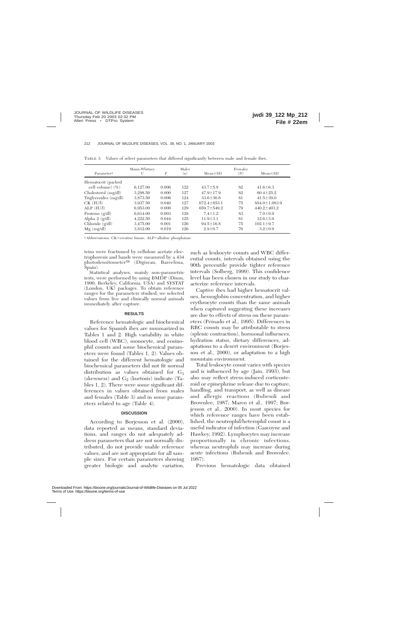| Parameter <sup>a</sup>   | Mann-Whitney<br>U | P     | Males<br>(n) | $Mean \pm SD$     | Females<br>(N) | $Mean \pm SD$       |
|--------------------------|-------------------|-------|--------------|-------------------|----------------|---------------------|
| Hematocrit (packed       |                   |       |              |                   |                |                     |
| cell volume) $(\% )$     | 6.127.00          | 0.006 | 122          | $43.7 \pm 5.8$    | 82             | $41.6 \pm 6.3$      |
| Cholesterol (mg/dl)      | 3.298.50          | 0.000 | 127          | $47.9 \pm 17.9$   | 82             | $60.4 \pm 25.2$     |
| Triglycerides (mg/dl)    | 3.873.50          | 0.006 | 124          | $33.6 \pm 36.6$   | 81             | $41.5 \pm 39.0$     |
| $CK$ (IU/l)              | 3.937.50          | 0.040 | 127          | $672.4 \pm 853.1$ | 75             | $884.0 \pm 1.083.9$ |
| $ALP$ (IU/l)             | 6.953.00          | 0.000 | 129          | $659.7 \pm 549.2$ | 79             | $440.2 \pm 403.2$   |
| Proteins $(g/dl)$        | 6.614.00          | 0.003 | 128          | $7.4 \pm 1.2$     | 83             | $7.0 \pm 0.9$       |
| Alpha $2 \text{ (g/dl)}$ | 4.222.50          | 0.044 | 125          | $11.9 \pm 3.1$    | 81             | $12.6 \pm 3.9$      |
| Chloride $(g/dl)$        | 3,475.00          | 0.001 | 126          | $94.5 \pm 16.8$   | 75             | $102.1 \pm 9.7$     |
| $Mg \ (mg/dl)$           | 3.812.00          | 0.019 | 126          | $2.8 \pm 0.7$     | 76             | $3.2 \pm 0.9$       |

TABLE 3. Values of select parameters that differed significantly between male and female ibex.

<sup>a</sup> Abbreviatoins: CK=creatine kinase, ALP=alkaline phosphatase.

teins were fractioned by cellulose acetate electrophoresis and bands were measured by a 434 photodensitometer<sup>®</sup> (Digiscan, Barcelona, Spain).

Statistical analyses, mainly non-parametric tests, were performed by using BMDP (Dixon, 1990; Berkeley, California, USA) and SYSTAT (London, UK) packages. To obtain reference ranges for the parameters studied, we selected values from live and clinically normal animals immediately after capture.

#### **RESULTS**

Reference hematologic and biochemical values for Spanish ibex are summarized in Tables 1 and 2. High variability in white blood cell (WBC), monocyte, and eosinophil counts and some biochemical parameters were found (Tables 1, 2). Values obtained for the different hematologic and biochemical parameters did not fit normal distribution as values obtained for  $G_1$ (skewness) and  $G_2$  (kurtosis) indicate (Tables 1, 2). There were some significant differences in values obtained from males and females (Table 3) and in some parameters related to age (Table 4).

### **DISCUSSION**

According to Borjesson et al. (2000), data reported as means, standard deviations, and ranges do not adequately address parameters that are not normally distributed, do not provide usable reference values, and are not appropriate for all sample sizes. For certain parameters showing greater biologic and analytic variation, such as leukocyte counts and WBC differential counts, intervals obtained using the 90th percentile provide tighter reference intervals (Solberg, 1999). This confidence level has been chosen in our study to characterize reference intervals.

Captive ibex had higher hematocrit values, hemoglobin concentration, and higher erythrocyte counts than the same animals when captured suggesting these increases are due to effects of stress on these parameters (Peinado et al., 1995). Differences in RBC counts may be attributable to stress (splenic contraction), hormonal influences, hydration status, dietary differences, adaptations to a desert environment (Borjesson et al., 2000), or adaptation to a high mountain environment.

Total leukocyte count varies with species and is influenced by age (Jain, 1993), but also may reflect stress-induced corticosteroid or epinephrine release due to capture, handling, and transport, as well as disease and allergic reactions (Bubenik and Brownlee, 1987; Marco et al., 1997; Borjesson et al., 2000). In most species for which reference ranges have been established, the neutrophil/heterophil count is a useful indicator of infection (Gascoyne and Hawkey, 1992). Lymphocytes may increase proportionally in chronic infections, whereas neutrophils may increase during acute infections (Bubenik and Brownlee, 1987).

Previous hematologic data obtained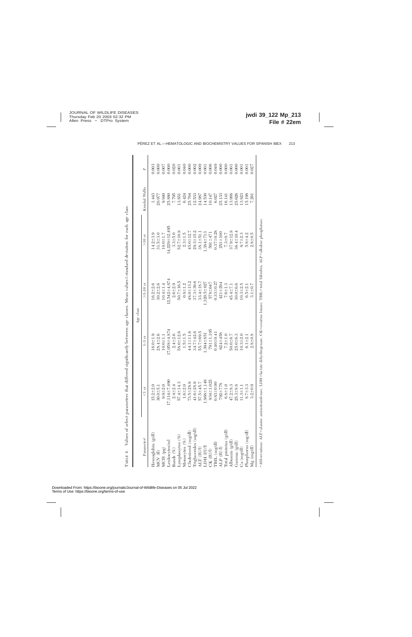|                                                                                                                                                          |                  | Age class          |                    |                     |                |       |
|----------------------------------------------------------------------------------------------------------------------------------------------------------|------------------|--------------------|--------------------|---------------------|----------------|-------|
| Parameter <sup>a</sup>                                                                                                                                   | $<1~\rm{yr}$     | $1 - 3 \text{ yr}$ | $>3-10$ vr         | >10~yr              | Kruskal Wallis | P     |
| Hemoglobin $(g/dl)$                                                                                                                                      | $15.2 + 2.0$     | $16.0 \pm 1.9$     | $16.2 + 2.6$       | $14.2 + 3.9$        | 1.443          | 0.003 |
| $MCV$ (H)                                                                                                                                                | $30.0 + 5.$      | $28.4 + 2.6$       | $30.2 + 2.6$       | $31.5 + 3.0$        | 20.977         | 0.000 |
| MCH (pg)                                                                                                                                                 | $9.9 + 2.$       | $10.0 + 1.1$       | $10.4 \pm 1.4$     | $10.0 + 1.7$        | 9.940          | 0.007 |
| <i>eukocytes/ml</i>                                                                                                                                      | 490<br>17,114±7, | 17,058±4,874       | $12.542 \pm 4.874$ | $14,229 \pm 12,495$ | 25.880         | 0.000 |
| Bands $(\%)$                                                                                                                                             | $2.4 + 2.$       | $2.4 = 2.6$        | $2.6 + 2.9$        | $3.3 + 5.0$         | 7.795          | 0.020 |
| -ymphocytes (%)                                                                                                                                          | $57.4 \pm 14.3$  | $58.0 \pm 12.6$    | $50.7 \pm 16.5$    | $52.7 \pm 10.8$     | 13.851         | 0.001 |
| Monocytes (%)                                                                                                                                            | $1.6 + 2.0$      | $1.5 + 1.5$        | $0.8 + 1.2$        | $2.3 + 1.5$         | 6.424          | 0.040 |
| Cholesterol (mg/dl)                                                                                                                                      | $73.5 + 28.9$    | $44.1 \pm 11.6$    | $48.0 \pm 13.2$    | $45.0 \pm 12.7$     | 25.764         | 0.000 |
| Triglycerides (mg/dl)                                                                                                                                    | $41.6 \pm 28.9$  | 34.7±42.6          | $37.3 + 39.6$      | $29.3 \pm 15.2$     | 12.533         | 0.002 |
| ALT (IUA)                                                                                                                                                | 57.5±45.7        | 55.7±69.5          | $33.4 \pm 18.7$    | $38.1 + 51.$        | 24.987         | 0.000 |
| LDH (IUA)                                                                                                                                                | $.968 \pm 1.148$ | 1984+851           | $1.320.5 \pm 627$  | $1,384 \pm 713$     | 14.530         | 0.001 |
| CK (IU/I)                                                                                                                                                | $934 \pm 1,025$  | $791 + 1,105$      | 578±647            | $591 \pm 47$        | 10.147         | 0.006 |
| [BIL (mg/dl)                                                                                                                                             | $0.83 + 0.90$    | $0.40 \pm 0.41$    | $0.33 \pm 0.27$    | $0.37 + 0.28$       | 6.027          | 0.049 |
| ALP (IU/I)                                                                                                                                               | 87<br>$792 + 7$  | $624 + 458$        | $421 + 294$        | $253 + 100$         | 25.133         | 0.000 |
| Total proteins $(g/dl)$                                                                                                                                  | $6.8 + 1.0$      | $7.2 + 1.0$        | $7.6 + 1.3$        | $7.3 + 0.7$         | 16.141         | 0.000 |
| Albumin $(g/d)$                                                                                                                                          | $47.2 \pm 8.$    | $50.0 \pm 6.7$     | $45.4 \pm 7.1$     | $37.9 + 12.8$       | 13.988         | 0.001 |
| Gamma (g/dl)                                                                                                                                             | $25.3 + 8.$      | $25.0 \pm 6.3$     | $30.0 + 6.6$       | $36.4 \pm 10.4$     | 25.626         | 0.000 |
| Ca (mg/dl)                                                                                                                                               | $1.3 \pm 1$ .    | $10.3 + 2.0$       | $10.3 + 2.5$       | $9.7 + 2.3$         | 13.823         | 0.001 |
| Phosphorus (mg/dl)                                                                                                                                       | $8.7 \pm 3.$     | $6.1 + 2.$         | $6.5 + 2.1$        | $5.8 \pm 4.2$       | 15.198         | 0.001 |
| $Mg$ (mg/dl)                                                                                                                                             | $3.2 + 0.$       | $2.8 + 0.8$        | $3.1 \pm 0.7$      | $2.8 + 0.5$         | 7.261          | 0.027 |
| <sup>a</sup> Abbreviations: ALT=alanine aminotransferase, LDH=lactate dehydrogenase, CK=creatine kinase, TBIL=total bilirubin, ALP=alkaline phosphatase. |                  |                    |                    |                     |                |       |

Values of select parameters that differed significantly between age classes. Mean values ± standard deviation for each age class. 6standard deviation for each age class. TABLE 4. Values of select parameters that differed significantly between age classes. Mean values TABLE 4.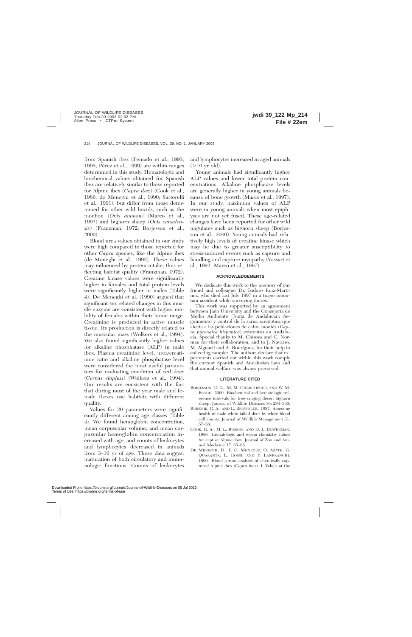from Spanish ibex (Peinado et al., 1993, 1995; Pérez et al., 1999) are within ranges determined in this study. Hematologic and biochemical values obtained for Spanish ibex are relatively similar to those reported for Alpine ibex (*Capra ibex*) (Cook et al., 1986; de Meneghi et al., 1990; Sartorelli et al., 1991), but differ from those determined for other wild bovids, such as the mouflon (*Ovis ammon*) (Marco et al., 1997) and bighorn sheep (*Ovis canadensis*) (Franzman, 1972; Borjesson et al., 2000).

Blood urea values obtained in our study were high compared to those reported for other *Capra* species, like the Alpine ibex (de Meneghi et al., 1992). These values may influenced by protein intake, thus reflecting habitat quality (Franzman, 1972). Creatine kinase values were significantly higher in females and total protein levels were significantly higher in males (Table 4). De Meneghi et al. (1990) argued that significant sex related changes in this muscle enzyme are consistent with higher mobility of females within their home range. Creatinine is produced in active muscle tissue. Its production is directly related to the muscular mass (Wolkers et al., 1994). We also found significantly higher values for alkaline phosphatase (ALP) in male ibex. Plasma creatinine level, urea/creatinine ratio and alkaline phosphatase level were considered the most useful parameters for evaluating condition of red deer (*Cervus elaphus*) (Wolkers et al., 1994). Our results are consistent with the fact that during most of the year male and female ibexes use habitats with different quality.

Values for 20 parameters were significantly different among age classes (Table 4). We found hemoglobin concentration, mean corpuscular volume, and mean corpuscular hemoglobin concentration increased with age, and counts of leukocytes and lymphocytes decreased in animals from 3–10 yr of age. These data suggest maturation of both circulatory and immunologic functions. Counts of leukocytes

and lymphocytes increased in aged animals  $(>10 \text{ yr old}).$ 

Young animals had significantly higher ALP values and lower total protein concentrations. Alkaline phosphatase levels are generally higher in young animals because of bone growth (Marco et al., 1997). In our study, maximum values of ALP were in young animals when most epiphyses are not yet fused. These age-related changes have been reported for other wild ungulates such as bighorn sheep (Borjesson et al., 2000). Young animals had relatively high levels of creatine kinase which may be due to greater susceptibility to stress-induced events such as capture and handling and capture myopathy (Vassart et al., 1992; Marco et al., 1997).

#### **ACKNOWLEDGEMENTS**

We dedicate this work to the memory of our friend and colleague Dr. Isidoro Ruiz-Martı´ nez, who died last July 1997 in a tragic mountain accident while surveying ibexes.

This work was supported by an agreement between Jaén University and the Consejería de Medio Ambiente (Junta de Andalucía): Seguimiento y control de la sarna sarcóptica que afecta a las poblaciones de cabra montés (*Capra pyrenaica hispanica*) existentes en Andalucía. Special thanks to M. Chirosa and C. Norman for their collaboration, and to J. Navarro, M. Alguacil and A. Rodríguez, for their help in collecting samples. The authors declare that experiments carried out within this work comply the current Spanish and Andalusian laws and that animal welfare was always preserved.

#### **LITERATURE CITED**

- BORJESSON, D. L., M. M. CHRISTOPHER, AND W. M. BOYCE. 2000. Biochemical and hematologic reference intervals for free-ranging desert bighorn sheep. Journal of Wildlife Diseases 36: 294–300.
- BUBENIK, G. A., AND L. BROWNLEE. 1987. Assessing health of male white-tailed deer by white blood cell counts. Journal of Wildlife Management 51: 57–58.
- COOK, R. A., M. L. ROSKOP, AND D. L. BOWERMAN. 1986. Hematologic and serum chemistry values for captive Alpine ibex. Journal of Zoo and Animal Medicine 17: 65–68.
- DE MENEGHI, D., P. G. MENEGUZ, O. ABATE, G. QUARANTA, L. ROSSI, AND P. LANFRANCHI. 1990. Blood serum analysis of chemically captured Alpine ibex (*Capra ibex*). I: Values at the